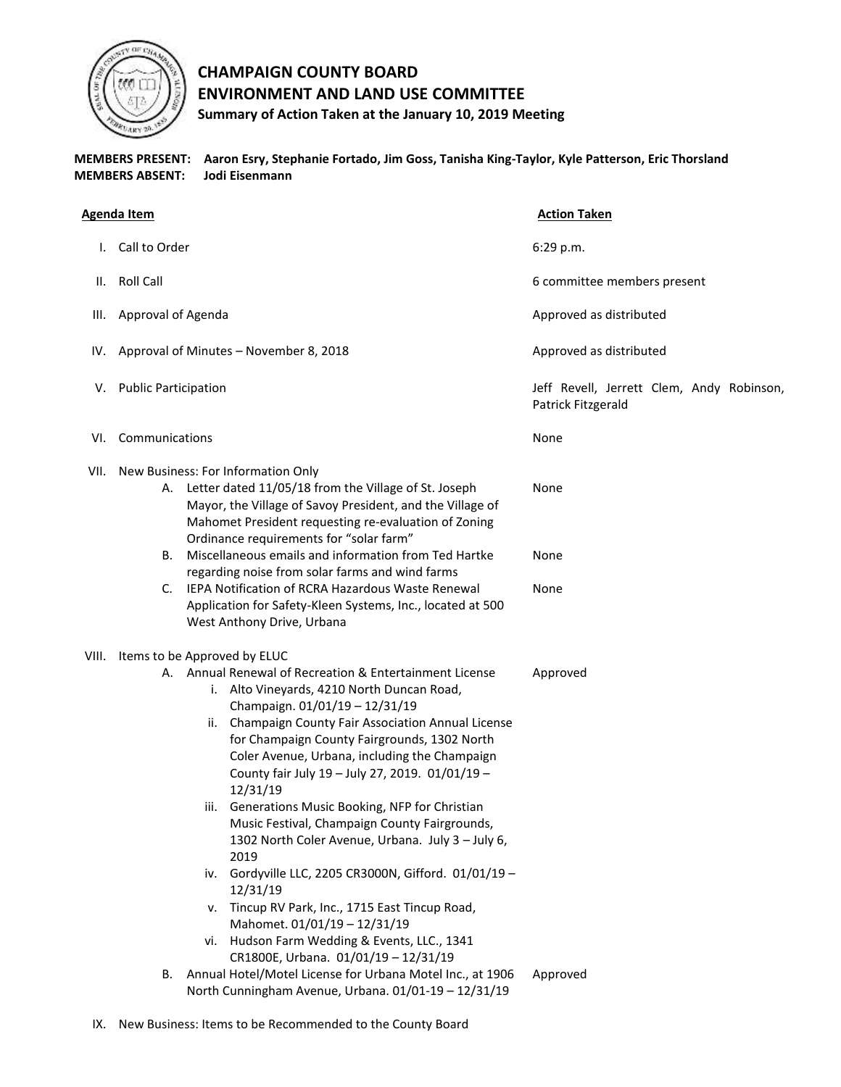

## **CHAMPAIGN COUNTY BOARD ENVIRONMENT AND LAND USE COMMITTEE Summary of Action Taken at the January 10, 2019 Meeting**

**MEMBERS PRESENT: Aaron Esry, Stephanie Fortado, Jim Goss, Tanisha King-Taylor, Kyle Patterson, Eric Thorsland MEMBERS ABSENT: Jodi Eisenmann** 

| <b>Agenda Item</b> |                             |                                                                                                                                                                                                                                                                                                                                                                                                                                                                                                                                                                                                                                                                                                                                                                                                                          | <b>Action Taken</b>                                             |
|--------------------|-----------------------------|--------------------------------------------------------------------------------------------------------------------------------------------------------------------------------------------------------------------------------------------------------------------------------------------------------------------------------------------------------------------------------------------------------------------------------------------------------------------------------------------------------------------------------------------------------------------------------------------------------------------------------------------------------------------------------------------------------------------------------------------------------------------------------------------------------------------------|-----------------------------------------------------------------|
|                    | Call to Order               |                                                                                                                                                                                                                                                                                                                                                                                                                                                                                                                                                                                                                                                                                                                                                                                                                          | 6:29 p.m.                                                       |
| Ш.                 | <b>Roll Call</b>            |                                                                                                                                                                                                                                                                                                                                                                                                                                                                                                                                                                                                                                                                                                                                                                                                                          | 6 committee members present                                     |
| III.               | Approval of Agenda          |                                                                                                                                                                                                                                                                                                                                                                                                                                                                                                                                                                                                                                                                                                                                                                                                                          | Approved as distributed                                         |
| IV.                |                             | Approval of Minutes - November 8, 2018                                                                                                                                                                                                                                                                                                                                                                                                                                                                                                                                                                                                                                                                                                                                                                                   | Approved as distributed                                         |
| V.                 | <b>Public Participation</b> |                                                                                                                                                                                                                                                                                                                                                                                                                                                                                                                                                                                                                                                                                                                                                                                                                          | Jeff Revell, Jerrett Clem, Andy Robinson,<br>Patrick Fitzgerald |
| VI.                | Communications              |                                                                                                                                                                                                                                                                                                                                                                                                                                                                                                                                                                                                                                                                                                                                                                                                                          | None                                                            |
|                    |                             | VII. New Business: For Information Only<br>A. Letter dated 11/05/18 from the Village of St. Joseph<br>Mayor, the Village of Savoy President, and the Village of<br>Mahomet President requesting re-evaluation of Zoning                                                                                                                                                                                                                                                                                                                                                                                                                                                                                                                                                                                                  | None                                                            |
|                    |                             | Ordinance requirements for "solar farm"<br>B. Miscellaneous emails and information from Ted Hartke                                                                                                                                                                                                                                                                                                                                                                                                                                                                                                                                                                                                                                                                                                                       | None                                                            |
|                    |                             | regarding noise from solar farms and wind farms<br>C. IEPA Notification of RCRA Hazardous Waste Renewal<br>Application for Safety-Kleen Systems, Inc., located at 500<br>West Anthony Drive, Urbana                                                                                                                                                                                                                                                                                                                                                                                                                                                                                                                                                                                                                      | None                                                            |
| VIII.              |                             | Items to be Approved by ELUC<br>A. Annual Renewal of Recreation & Entertainment License<br>i. Alto Vineyards, 4210 North Duncan Road,<br>Champaign. 01/01/19 - 12/31/19<br>Champaign County Fair Association Annual License<br>ii.<br>for Champaign County Fairgrounds, 1302 North<br>Coler Avenue, Urbana, including the Champaign<br>County fair July 19 - July 27, 2019. 01/01/19 -<br>12/31/19<br>iii. Generations Music Booking, NFP for Christian<br>Music Festival, Champaign County Fairgrounds,<br>1302 North Coler Avenue, Urbana. July 3 - July 6,<br>2019<br>Gordyville LLC, 2205 CR3000N, Gifford. 01/01/19 -<br>iv.<br>12/31/19<br>v. Tincup RV Park, Inc., 1715 East Tincup Road,<br>Mahomet. 01/01/19 - 12/31/19<br>vi. Hudson Farm Wedding & Events, LLC., 1341<br>CR1800E, Urbana. 01/01/19 - 12/31/19 | Approved                                                        |
|                    | В.                          | Annual Hotel/Motel License for Urbana Motel Inc., at 1906<br>North Cunningham Avenue, Urbana. 01/01-19 - 12/31/19                                                                                                                                                                                                                                                                                                                                                                                                                                                                                                                                                                                                                                                                                                        | Approved                                                        |